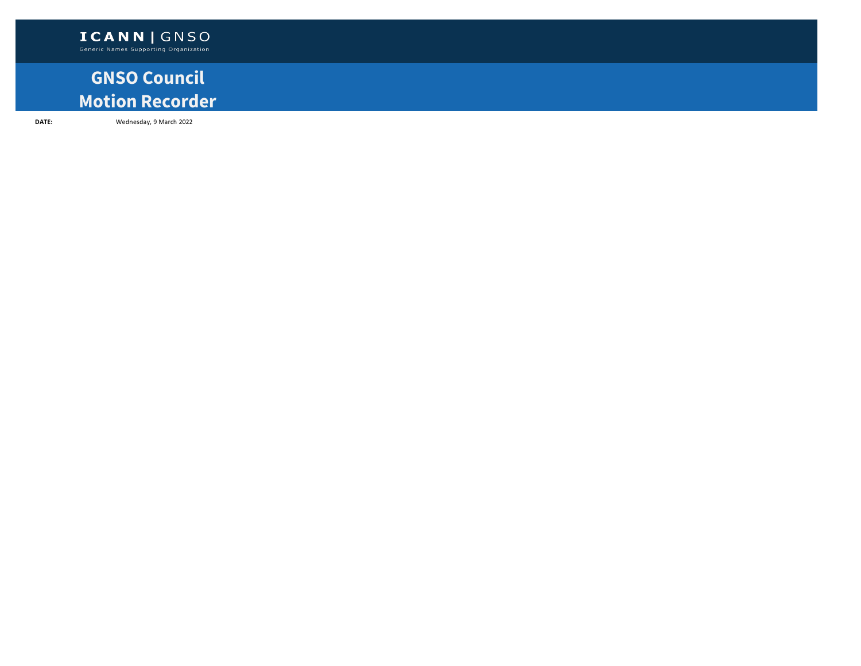## **GNSO Council Motion Recorder**

**DATE:** Wednesday, 9 March 2022